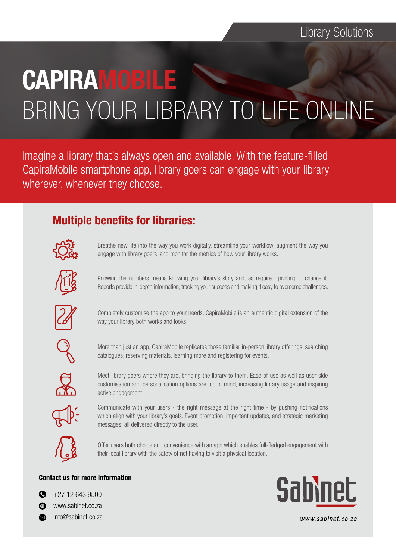# **CAPIRAMOBILE** BRING YOUR LIBRARY TO LIFE ONLINE

Imagine a library that's always open and available. With the feature-filled CapiraMobile smartphone app, library goers can engage with your library wherever, whenever they choose.

## Multiple benefits for libraries:



Breathe new life into the way you work digitally, streamline your workflow, augment the way you engage with library goers, and monitor the metrics of how your library works.



Knowing the numbers means knowing your library's story and, as required, pivoting to change it. Reports provide in-depth information, tracking your success and making it easy to overcome challenges.



Completely customise the app to your needs. CapiraMobile is an authentic digital extension of the way your library both works and looks.



More than just an app, CapiraMobile replicates those familiar in-person library offerings: searching catalogues, reserving materials, learning more and registering for events.

Meet library goers where they are, bringing the library to them. Ease-of-use as well as user-side customisation and personalisation options are top of mind, increasing library usage and inspiring active engagement.



Communicate with your users - the right message at the right time - by pushing notifications which align with your library's goals. Event promotion, important updates, and strategic marketing messages, all delivered directly to the user.



Offer users both choice and convenience with an app which enables full-fledged engagement with their local library with the safety of not having to visit a physical location.

#### Contact us for more information

 $\bullet$ +27 12 643 9500



info@sabinet.co.za



www.sabinet.co.za